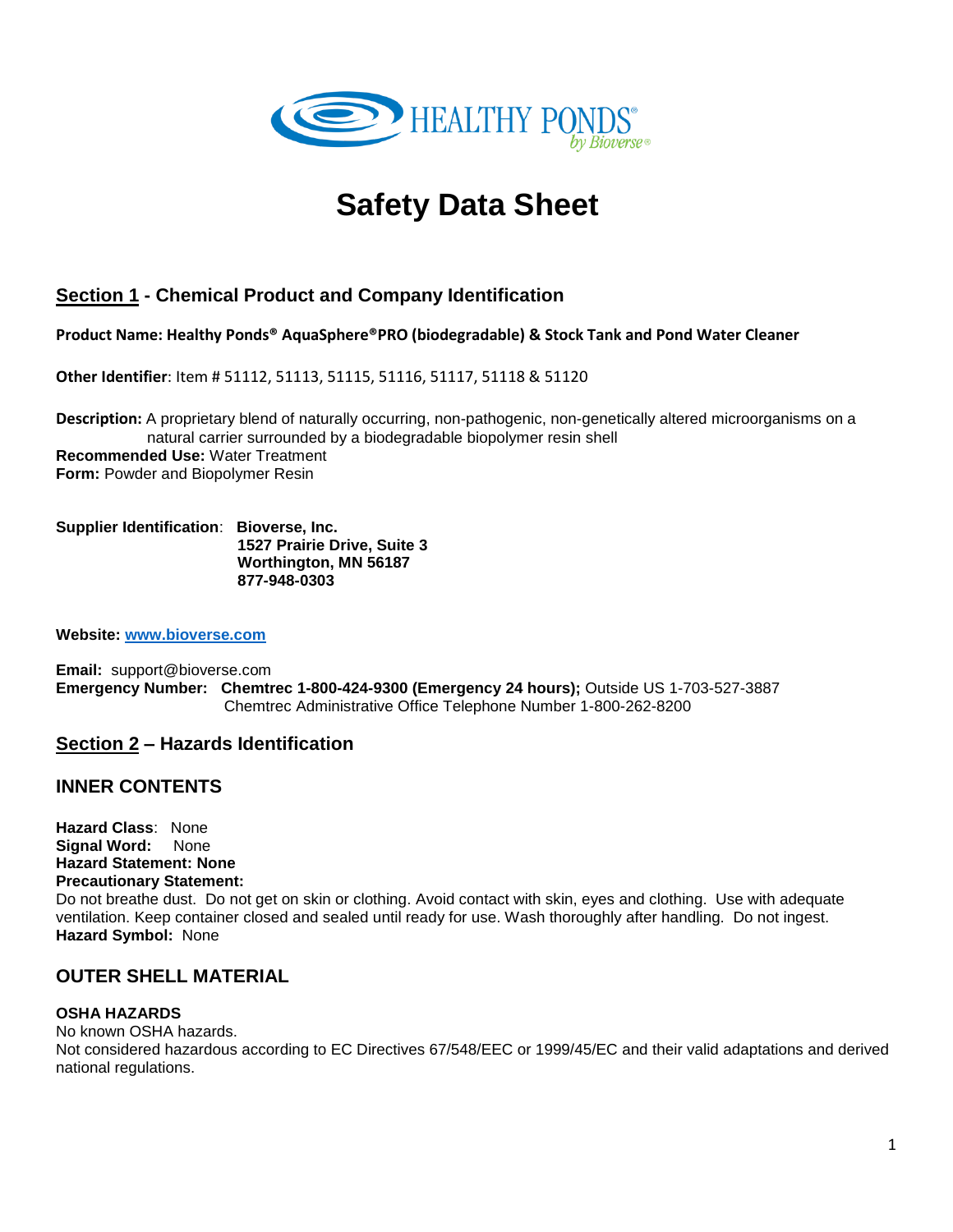

# **Safety Data Sheet**

# **Section 1 - Chemical Product and Company Identification**

**Product Name: Healthy Ponds® AquaSphere®PRO (biodegradable) & Stock Tank and Pond Water Cleaner**

**Other Identifier**: Item # 51112, 51113, 51115, 51116, 51117, 51118 & 51120

**Description:** A proprietary blend of naturally occurring, non-pathogenic, non-genetically altered microorganisms on a natural carrier surrounded by a biodegradable biopolymer resin shell **Recommended Use:** Water Treatment **Form: Powder and Biopolymer Resin** 

**Supplier Identification**: **Bioverse, Inc. 1527 Prairie Drive, Suite 3 Worthington, MN 56187 877-948-0303**

**Website: [www.bioverse.com](http://www.bioverse.com/)**

**Email:** support@bioverse.com **Emergency Number: Chemtrec 1-800-424-9300 (Emergency 24 hours);** Outside US 1-703-527-3887 Chemtrec Administrative Office Telephone Number 1-800-262-8200

#### **Section 2 – Hazards Identification**

#### **INNER CONTENTS**

**Hazard Class**: None **Signal Word:** None **Hazard Statement: None Precautionary Statement:** 

Do not breathe dust. Do not get on skin or clothing. Avoid contact with skin, eyes and clothing. Use with adequate ventilation. Keep container closed and sealed until ready for use. Wash thoroughly after handling. Do not ingest. **Hazard Symbol:** None

#### **OUTER SHELL MATERIAL**

#### **OSHA HAZARDS**

No known OSHA hazards. Not considered hazardous according to EC Directives 67/548/EEC or 1999/45/EC and their valid adaptations and derived national regulations.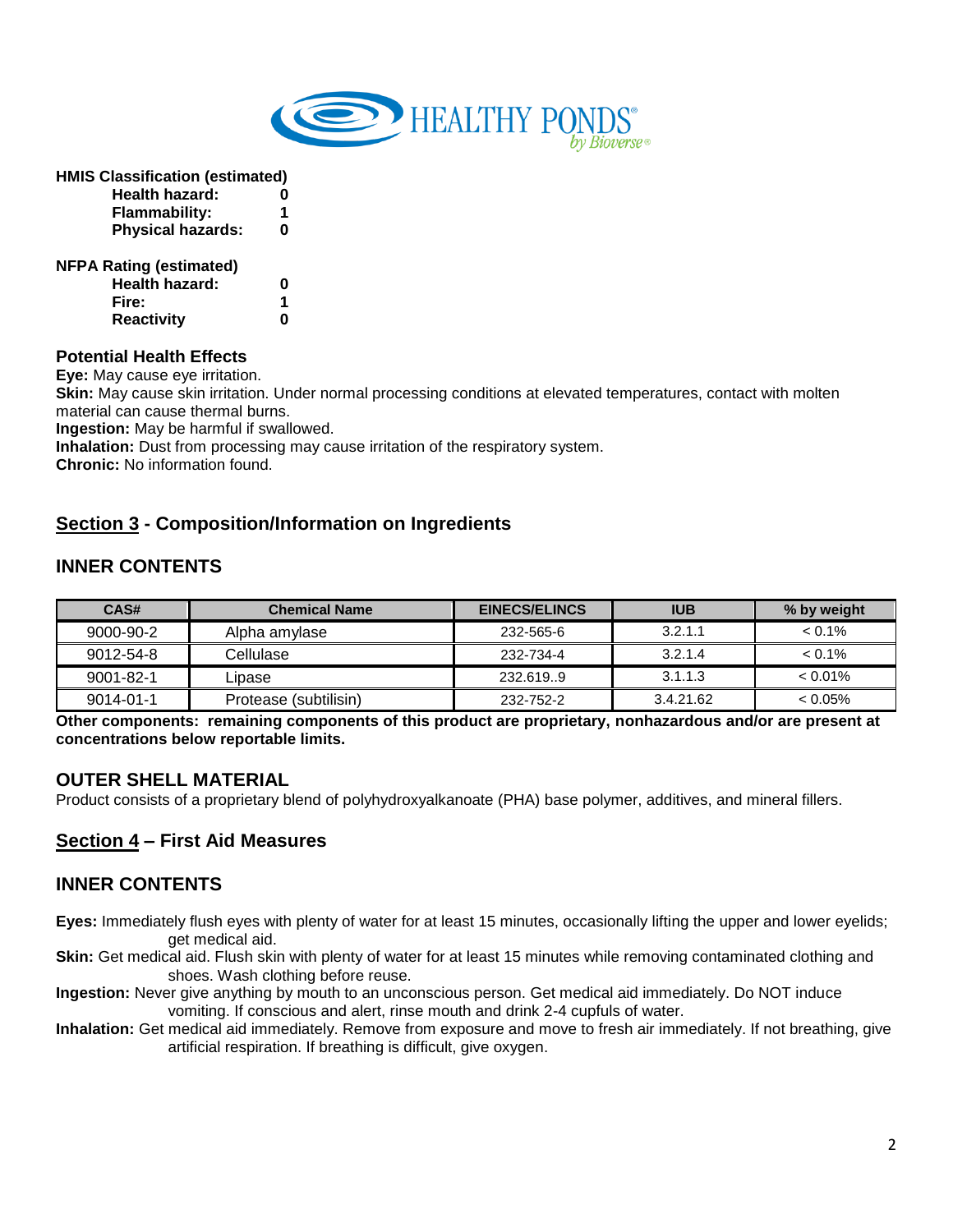

**HMIS Classification (estimated)**

| <b>Health hazard:</b>          | 0 |
|--------------------------------|---|
| Flammability:                  | 1 |
| <b>Physical hazards:</b>       | O |
| <b>NFPA Rating (estimated)</b> |   |
| <b>Health hazard:</b>          | 0 |
| Fire:                          | 1 |
| <b>Reactivity</b>              |   |

#### **Potential Health Effects**

**Eye:** May cause eye irritation.

**Skin:** May cause skin irritation. Under normal processing conditions at elevated temperatures, contact with molten material can cause thermal burns.

**Ingestion:** May be harmful if swallowed.

**Inhalation:** Dust from processing may cause irritation of the respiratory system.

**Chronic:** No information found.

## **Section 3 - Composition/Information on Ingredients**

## **INNER CONTENTS**

| CAS#            | <b>Chemical Name</b>  | <b>EINECS/ELINCS</b> | <b>IUB</b> | % by weight |
|-----------------|-----------------------|----------------------|------------|-------------|
| 9000-90-2       | Alpha amylase         | 232-565-6            | 3.2.1.1    | $< 0.1\%$   |
| 9012-54-8       | Cellulase             | 232-734-4            | 3.2.1.4    | $< 0.1\%$   |
| $9001 - 82 - 1$ | Lipase                | 232.619.9            | 3.1.1.3    | $< 0.01\%$  |
| $9014 - 01 - 1$ | Protease (subtilisin) | 232-752-2            | 3.4.21.62  | $< 0.05\%$  |

**Other components: remaining components of this product are proprietary, nonhazardous and/or are present at concentrations below reportable limits.**

#### **OUTER SHELL MATERIAL**

Product consists of a proprietary blend of polyhydroxyalkanoate (PHA) base polymer, additives, and mineral fillers.

#### **Section 4 – First Aid Measures**

#### **INNER CONTENTS**

- **Eyes:** Immediately flush eyes with plenty of water for at least 15 minutes, occasionally lifting the upper and lower eyelids; get medical aid.
- **Skin:** Get medical aid. Flush skin with plenty of water for at least 15 minutes while removing contaminated clothing and shoes. Wash clothing before reuse.
- **Ingestion:** Never give anything by mouth to an unconscious person. Get medical aid immediately. Do NOT induce vomiting. If conscious and alert, rinse mouth and drink 2-4 cupfuls of water.
- **Inhalation:** Get medical aid immediately. Remove from exposure and move to fresh air immediately. If not breathing, give artificial respiration. If breathing is difficult, give oxygen.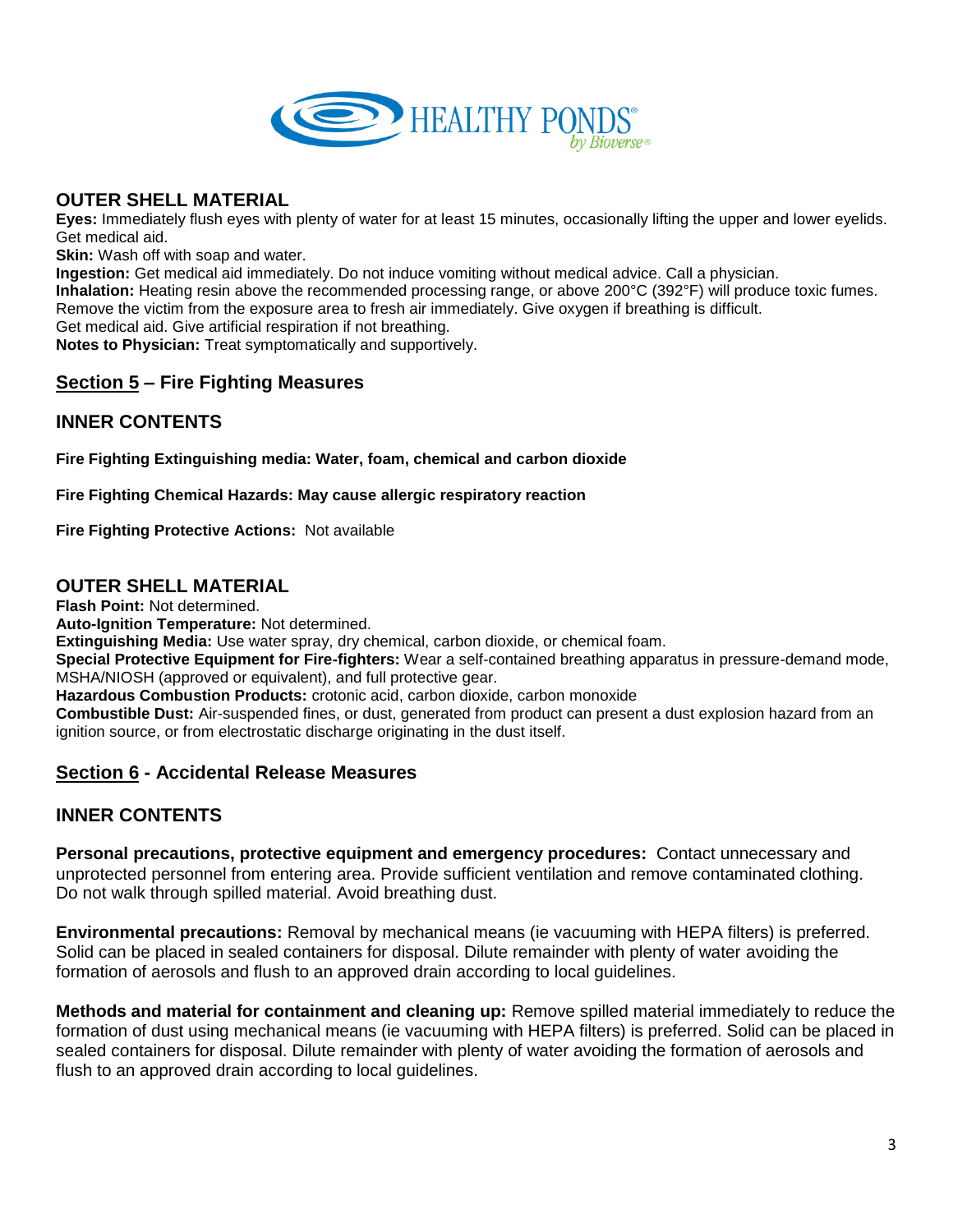

## **OUTER SHELL MATERIAL**

**Eyes:** Immediately flush eyes with plenty of water for at least 15 minutes, occasionally lifting the upper and lower eyelids. Get medical aid.

**Skin:** Wash off with soap and water.

**Ingestion:** Get medical aid immediately. Do not induce vomiting without medical advice. Call a physician. **Inhalation:** Heating resin above the recommended processing range, or above 200°C (392°F) will produce toxic fumes. Remove the victim from the exposure area to fresh air immediately. Give oxygen if breathing is difficult. Get medical aid. Give artificial respiration if not breathing. **Notes to Physician:** Treat symptomatically and supportively.

# **Section 5 – Fire Fighting Measures**

# **INNER CONTENTS**

**Fire Fighting Extinguishing media: Water, foam, chemical and carbon dioxide**

**Fire Fighting Chemical Hazards: May cause allergic respiratory reaction**

**Fire Fighting Protective Actions:** Not available

## **OUTER SHELL MATERIAL**

**Flash Point:** Not determined.

**Auto-Ignition Temperature:** Not determined.

**Extinguishing Media:** Use water spray, dry chemical, carbon dioxide, or chemical foam.

**Special Protective Equipment for Fire-fighters:** Wear a self-contained breathing apparatus in pressure-demand mode, MSHA/NIOSH (approved or equivalent), and full protective gear.

**Hazardous Combustion Products:** crotonic acid, carbon dioxide, carbon monoxide

**Combustible Dust:** Air-suspended fines, or dust, generated from product can present a dust explosion hazard from an ignition source, or from electrostatic discharge originating in the dust itself.

## **Section 6 - Accidental Release Measures**

# **INNER CONTENTS**

**Personal precautions, protective equipment and emergency procedures:** Contact unnecessary and unprotected personnel from entering area. Provide sufficient ventilation and remove contaminated clothing. Do not walk through spilled material. Avoid breathing dust.

**Environmental precautions:** Removal by mechanical means (ie vacuuming with HEPA filters) is preferred. Solid can be placed in sealed containers for disposal. Dilute remainder with plenty of water avoiding the formation of aerosols and flush to an approved drain according to local guidelines.

**Methods and material for containment and cleaning up:** Remove spilled material immediately to reduce the formation of dust using mechanical means (ie vacuuming with HEPA filters) is preferred. Solid can be placed in sealed containers for disposal. Dilute remainder with plenty of water avoiding the formation of aerosols and flush to an approved drain according to local guidelines.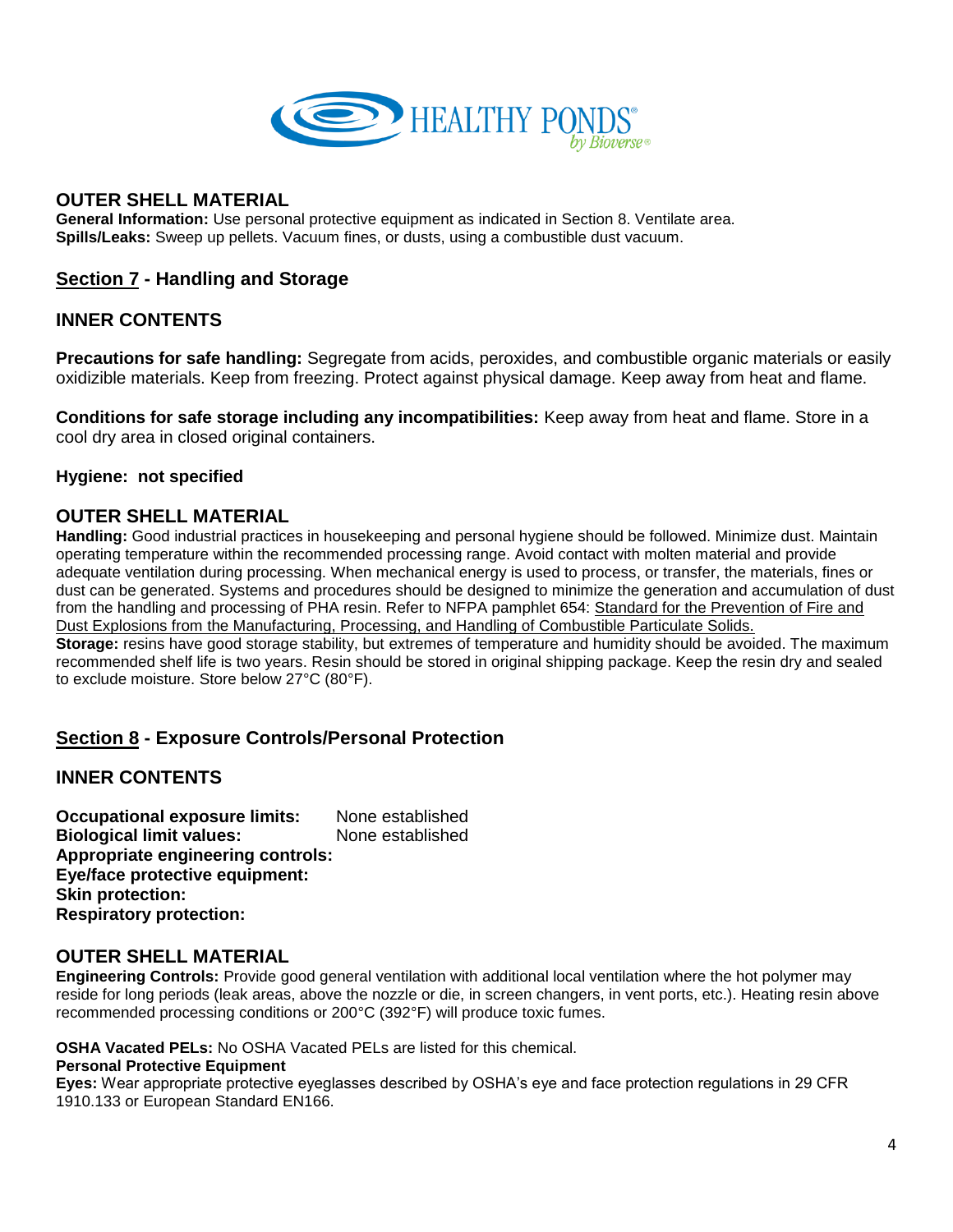

## **OUTER SHELL MATERIAL**

**General Information:** Use personal protective equipment as indicated in Section 8. Ventilate area. **Spills/Leaks:** Sweep up pellets. Vacuum fines, or dusts, using a combustible dust vacuum.

## **Section 7 - Handling and Storage**

# **INNER CONTENTS**

**Precautions for safe handling:** Segregate from acids, peroxides, and combustible organic materials or easily oxidizible materials. Keep from freezing. Protect against physical damage. Keep away from heat and flame.

**Conditions for safe storage including any incompatibilities:** Keep away from heat and flame. Store in a cool dry area in closed original containers.

#### **Hygiene: not specified**

## **OUTER SHELL MATERIAL**

**Handling:** Good industrial practices in housekeeping and personal hygiene should be followed. Minimize dust. Maintain operating temperature within the recommended processing range. Avoid contact with molten material and provide adequate ventilation during processing. When mechanical energy is used to process, or transfer, the materials, fines or dust can be generated. Systems and procedures should be designed to minimize the generation and accumulation of dust from the handling and processing of PHA resin. Refer to NFPA pamphlet 654: Standard for the Prevention of Fire and Dust Explosions from the Manufacturing, Processing, and Handling of Combustible Particulate Solids. **Storage:** resins have good storage stability, but extremes of temperature and humidity should be avoided. The maximum

recommended shelf life is two years. Resin should be stored in original shipping package. Keep the resin dry and sealed to exclude moisture. Store below 27°C (80°F).

## **Section 8 - Exposure Controls/Personal Protection**

## **INNER CONTENTS**

**Occupational exposure limits:** None established **Biological limit values:** None established **Appropriate engineering controls: Eye/face protective equipment: Skin protection: Respiratory protection:**

#### **OUTER SHELL MATERIAL**

**Engineering Controls:** Provide good general ventilation with additional local ventilation where the hot polymer may reside for long periods (leak areas, above the nozzle or die, in screen changers, in vent ports, etc.). Heating resin above recommended processing conditions or 200°C (392°F) will produce toxic fumes.

**OSHA Vacated PELs:** No OSHA Vacated PELs are listed for this chemical.

#### **Personal Protective Equipment**

**Eyes:** Wear appropriate protective eyeglasses described by OSHA's eye and face protection regulations in 29 CFR 1910.133 or European Standard EN166.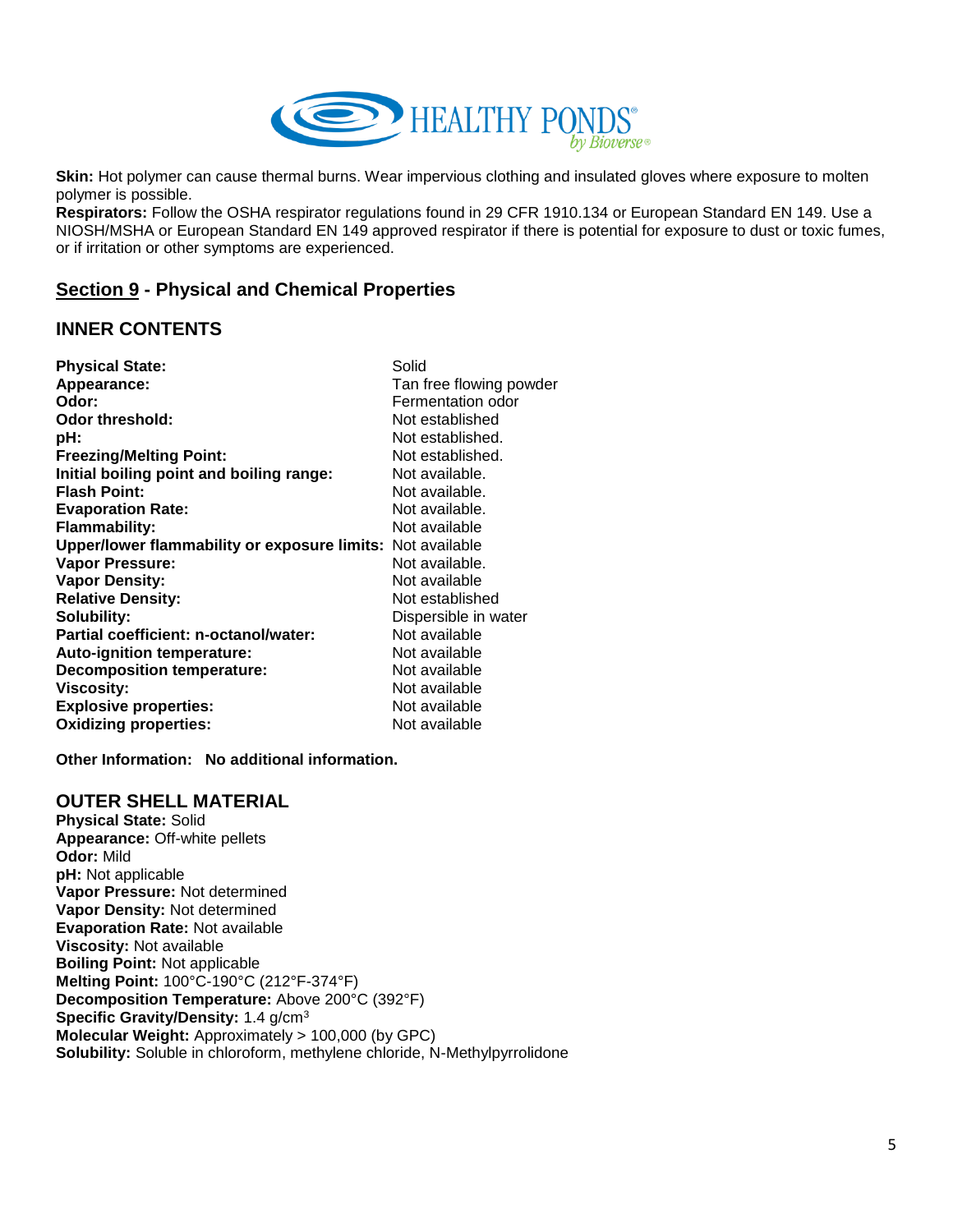

**Skin:** Hot polymer can cause thermal burns. Wear impervious clothing and insulated gloves where exposure to molten polymer is possible.

**Respirators:** Follow the OSHA respirator regulations found in 29 CFR 1910.134 or European Standard EN 149. Use a NIOSH/MSHA or European Standard EN 149 approved respirator if there is potential for exposure to dust or toxic fumes, or if irritation or other symptoms are experienced.

# **Section 9 - Physical and Chemical Properties**

## **INNER CONTENTS**

| <b>Physical State:</b>                                     | Solid                   |
|------------------------------------------------------------|-------------------------|
| Appearance:                                                | Tan free flowing powder |
| Odor:                                                      | Fermentation odor       |
| <b>Odor threshold:</b>                                     | Not established         |
| pH:                                                        | Not established.        |
| <b>Freezing/Melting Point:</b>                             | Not established.        |
| Initial boiling point and boiling range:                   | Not available.          |
| <b>Flash Point:</b>                                        | Not available.          |
| <b>Evaporation Rate:</b>                                   | Not available.          |
| <b>Flammability:</b>                                       | Not available           |
| Upper/lower flammability or exposure limits: Not available |                         |
| <b>Vapor Pressure:</b>                                     | Not available.          |
| <b>Vapor Density:</b>                                      | Not available           |
| <b>Relative Density:</b>                                   | Not established         |
| Solubility:                                                | Dispersible in water    |
| Partial coefficient: n-octanol/water:                      | Not available           |
| <b>Auto-ignition temperature:</b>                          | Not available           |
| <b>Decomposition temperature:</b>                          | Not available           |
| Viscosity:                                                 | Not available           |
| <b>Explosive properties:</b>                               | Not available           |
| <b>Oxidizing properties:</b>                               | Not available           |

**Other Information: No additional information.**

#### **OUTER SHELL MATERIAL**

**Physical State:** Solid **Appearance:** Off-white pellets **Odor:** Mild **pH:** Not applicable **Vapor Pressure:** Not determined **Vapor Density:** Not determined **Evaporation Rate:** Not available **Viscosity:** Not available **Boiling Point:** Not applicable **Melting Point:** 100°C-190°C (212°F-374°F) **Decomposition Temperature:** Above 200°C (392°F) **Specific Gravity/Density:** 1.4 g/cm<sup>3</sup> **Molecular Weight:** Approximately > 100,000 (by GPC) **Solubility:** Soluble in chloroform, methylene chloride, N-Methylpyrrolidone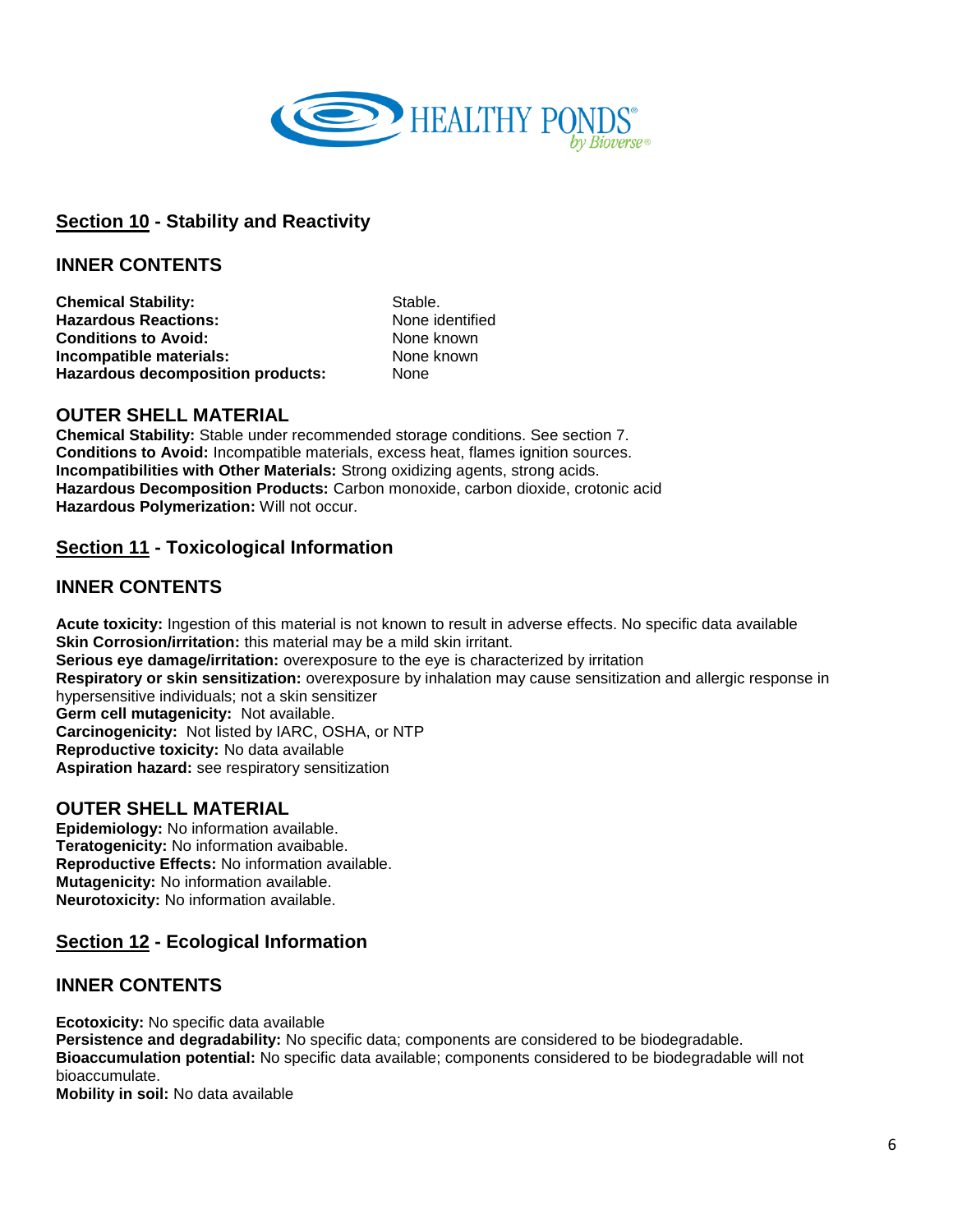

# **Section 10 - Stability and Reactivity**

## **INNER CONTENTS**

**Chemical Stability:** Stable. **Hazardous Reactions:** None identified **Conditions to Avoid:** None known **Incompatible materials:** None known **Hazardous decomposition products:** None

## **OUTER SHELL MATERIAL**

**Chemical Stability:** Stable under recommended storage conditions. See section 7. **Conditions to Avoid:** Incompatible materials, excess heat, flames ignition sources. **Incompatibilities with Other Materials:** Strong oxidizing agents, strong acids. **Hazardous Decomposition Products:** Carbon monoxide, carbon dioxide, crotonic acid **Hazardous Polymerization:** Will not occur.

# **Section 11 - Toxicological Information**

## **INNER CONTENTS**

**Acute toxicity:** Ingestion of this material is not known to result in adverse effects. No specific data available **Skin Corrosion/irritation:** this material may be a mild skin irritant. **Serious eye damage/irritation:** overexposure to the eye is characterized by irritation **Respiratory or skin sensitization:** overexposure by inhalation may cause sensitization and allergic response in hypersensitive individuals; not a skin sensitizer **Germ cell mutagenicity:** Not available. **Carcinogenicity:** Not listed by IARC, OSHA, or NTP **Reproductive toxicity:** No data available **Aspiration hazard:** see respiratory sensitization

## **OUTER SHELL MATERIAL**

**Epidemiology:** No information available. **Teratogenicity:** No information avaibable. **Reproductive Effects:** No information available. **Mutagenicity:** No information available. **Neurotoxicity:** No information available.

## **Section 12 - Ecological Information**

## **INNER CONTENTS**

**Ecotoxicity:** No specific data available **Persistence and degradability:** No specific data; components are considered to be biodegradable. **Bioaccumulation potential:** No specific data available; components considered to be biodegradable will not bioaccumulate. **Mobility in soil:** No data available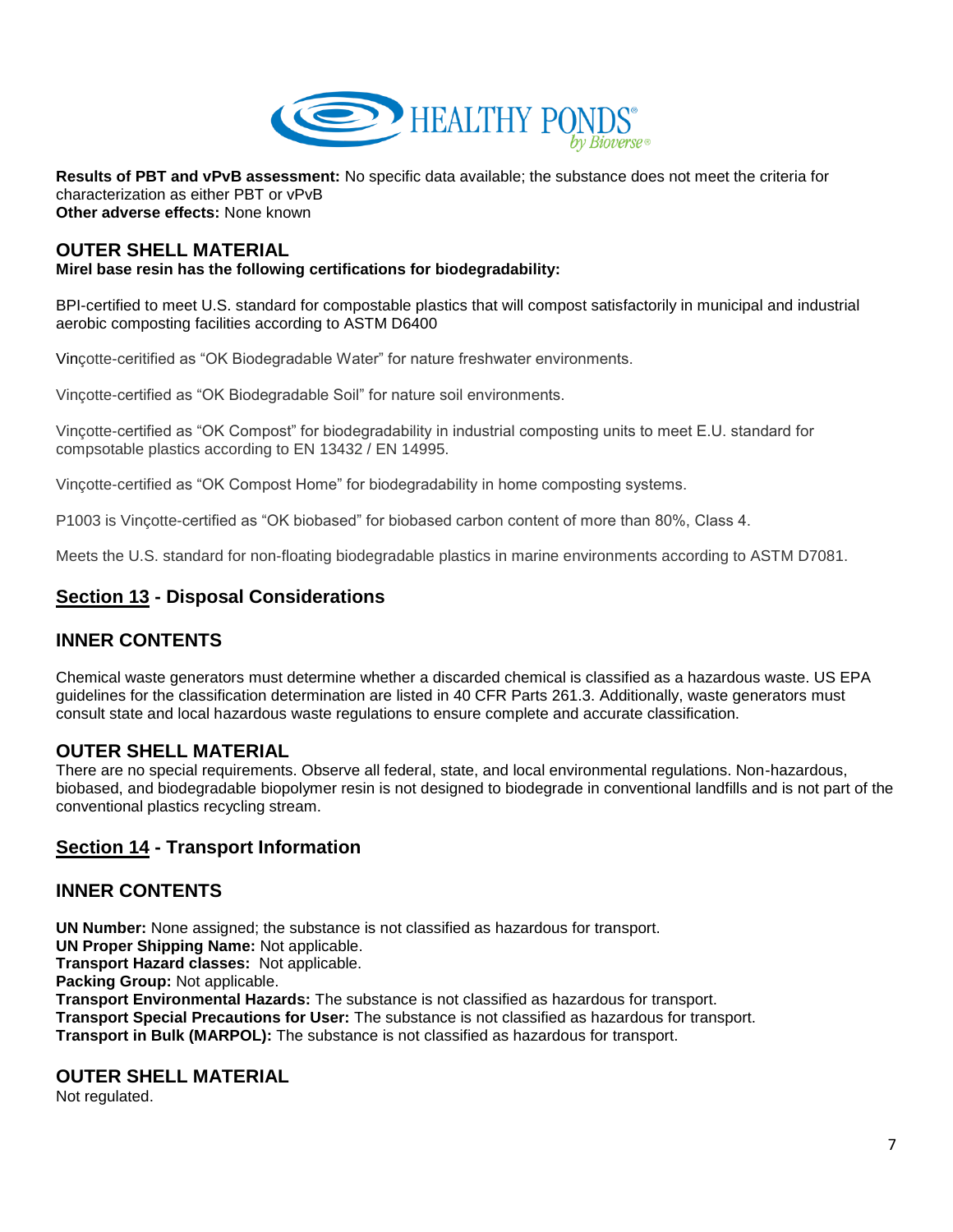

**Results of PBT and vPvB assessment:** No specific data available; the substance does not meet the criteria for characterization as either PBT or vPvB **Other adverse effects:** None known

## **OUTER SHELL MATERIAL**

#### **Mirel base resin has the following certifications for biodegradability:**

BPI-certified to meet U.S. standard for compostable plastics that will compost satisfactorily in municipal and industrial aerobic composting facilities according to ASTM D6400

Vinçotte-ceritified as "OK Biodegradable Water" for nature freshwater environments.

Vinçotte-certified as "OK Biodegradable Soil" for nature soil environments.

Vinçotte-certified as "OK Compost" for biodegradability in industrial composting units to meet E.U. standard for compsotable plastics according to EN 13432 / EN 14995.

Vinçotte-certified as "OK Compost Home" for biodegradability in home composting systems.

P1003 is Vinçotte-certified as "OK biobased" for biobased carbon content of more than 80%, Class 4.

Meets the U.S. standard for non-floating biodegradable plastics in marine environments according to ASTM D7081.

# **Section 13 - Disposal Considerations**

## **INNER CONTENTS**

Chemical waste generators must determine whether a discarded chemical is classified as a hazardous waste. US EPA guidelines for the classification determination are listed in 40 CFR Parts 261.3. Additionally, waste generators must consult state and local hazardous waste regulations to ensure complete and accurate classification.

## **OUTER SHELL MATERIAL**

There are no special requirements. Observe all federal, state, and local environmental regulations. Non-hazardous, biobased, and biodegradable biopolymer resin is not designed to biodegrade in conventional landfills and is not part of the conventional plastics recycling stream.

## **Section 14 - Transport Information**

## **INNER CONTENTS**

**UN Number:** None assigned; the substance is not classified as hazardous for transport. **UN Proper Shipping Name:** Not applicable. **Transport Hazard classes:** Not applicable. **Packing Group: Not applicable. Transport Environmental Hazards:** The substance is not classified as hazardous for transport. **Transport Special Precautions for User:** The substance is not classified as hazardous for transport. **Transport in Bulk (MARPOL):** The substance is not classified as hazardous for transport.

#### **OUTER SHELL MATERIAL**

Not regulated.